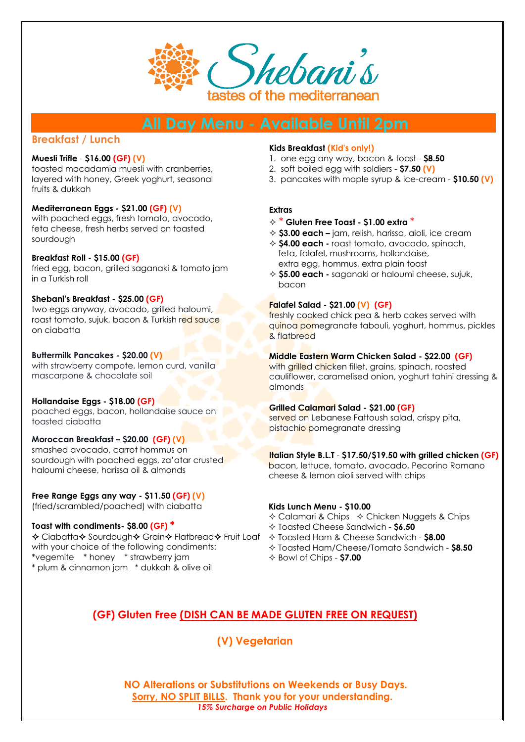

# **Breakfast / Lunch**

#### **Muesli Trifle** - **\$16.00 (GF) (V)**

toasted macadamia muesli with cranberries, layered with honey, Greek yoghurt, seasonal fruits & dukkah

#### **Mediterranean Eggs - \$21.00 (GF) (V)**

with poached eggs, fresh tomato, avocado, feta cheese, fresh herbs served on toasted sourdough

#### **Breakfast Roll - \$15.00 (GF)**

fried egg, bacon, grilled saganaki & tomato jam in a Turkish roll

#### **Shebani's Breakfast - \$25.00 (GF)**

two eggs anyway, avocado, grilled haloumi, roast tomato, sujuk, bacon & Turkish red sauce on ciabatta

#### **Buttermilk Pancakes - \$20.00 (V)**

with strawberry compote, lemon curd, vanilla mascarpone & chocolate soil

#### **Hollandaise Eggs - \$18.00 (GF)**

poached eggs, bacon, hollandaise sauce on toasted ciabatta

#### **Moroccan Breakfast – \$20.00 (GF) (V)**

smashed avocado, carrot hommus on sourdough with poached eggs, za'atar crusted haloumi cheese, harissa oil & almonds

## **Free Range Eggs any way - \$11.50 (GF) (V)**

(fried/scrambled/poached) with ciabatta

### **Toast with condiments- \$8.00 (GF) \***

**↑** Ciabatta↑ Sourdough↑ Grain↑ Flatbread↑ Fruit Loaf + Toasted Ham & Cheese Sandwich - \$8.00 with your choice of the following condiments: \*vegemite \* honey \* strawberry jam \* plum & cinnamon jam \* dukkah & olive oil

#### **Kids Breakfast (Kid's only!)**

- 1. one egg any way, bacon & toast **\$8.50**
- 2. soft boiled egg with soldiers **\$7.50 (V)**
- 3.pancakes with maple syrup & ice-cream **\$10.50 (V)**

#### **Extras**

- \* **Gluten Free Toast - \$1.00 extra** \*
- **\$3.00 each –** jam, relish, harissa, aioli, ice cream
- **\$4.00 each -** roast tomato, avocado, spinach, feta, falafel, mushrooms, hollandaise, extra egg, hommus, extra plain toast
- **\$5.00 each -** saganaki or haloumi cheese, sujuk, bacon

#### **Falafel Salad - \$21.00 (V) (GF)**

freshly cooked chick pea & herb cakes served with quinoa pomegranate tabouli, yoghurt, hommus, pickles & flatbread

### **Middle Eastern Warm Chicken Salad - \$22.00 (GF)**

with grilled chicken fillet, grains, spinach, roasted cauliflower, caramelised onion, yoghurt tahini dressing & almonds

### **Grilled Calamari Salad - \$21.00 (GF)**

served on Lebanese Fattoush salad, crispy pita, pistachio pomegranate dressing

#### **Italian Style B.L.T** - **\$17.50/\$19.50 with grilled chicken (GF)**

bacon, lettuce, tomato, avocado, Pecorino Romano cheese & lemon aioli served with chips

#### **Kids Lunch Menu - \$10.00**

- $\Diamond$  Calamari & Chips  $\Diamond$  Chicken Nuggets & Chips
- Toasted Cheese Sandwich **\$6.50**
- 
- Toasted Ham/Cheese/Tomato Sandwich **\$8.50**
- Bowl of Chips **\$7.00**

# **(GF) Gluten Free (DISH CAN BE MADE GLUTEN FREE ON REQUEST)**

**(V) Vegetarian**

**NO Alterations or Substitutions on Weekends or Busy Days. Sorry, NO SPLIT BILLS. Thank you for your understanding.**  *15% Surcharge on Public Holidays*